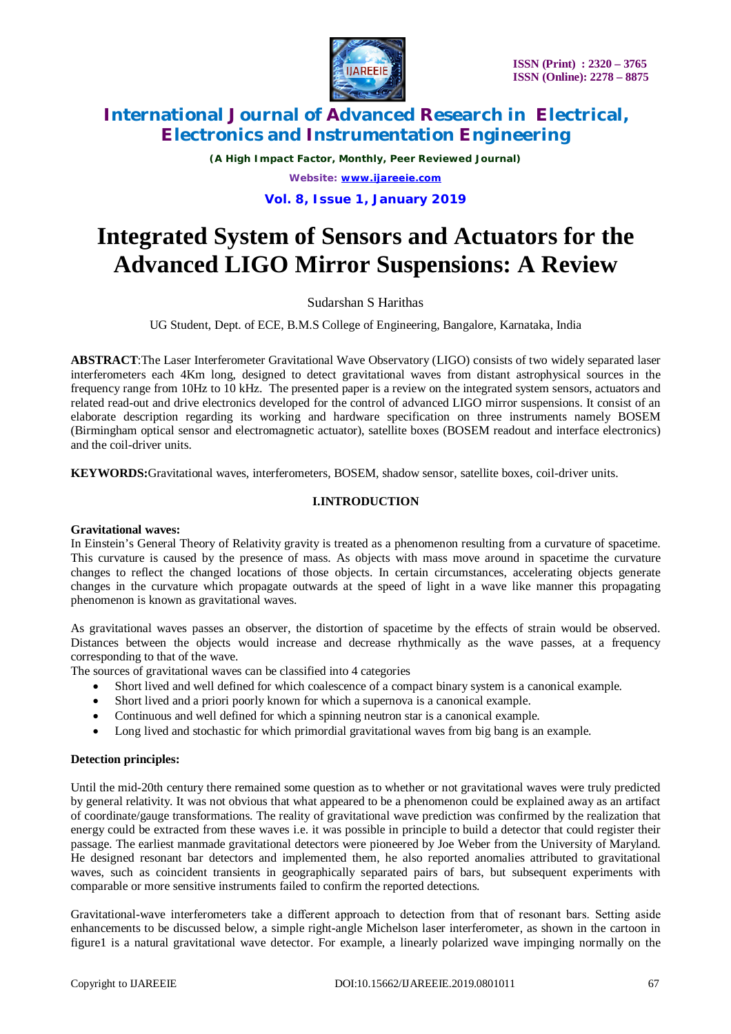

*(A High Impact Factor, Monthly, Peer Reviewed Journal) Website: [www.ijareeie.com](http://www.ijareeie.com)* **Vol. 8, Issue 1, January 2019**

# **Integrated System of Sensors and Actuators for the Advanced LIGO Mirror Suspensions: A Review**

Sudarshan S Harithas

UG Student, Dept. of ECE, B.M.S College of Engineering, Bangalore, Karnataka, India

**ABSTRACT**:The Laser Interferometer Gravitational Wave Observatory (LIGO) consists of two widely separated laser interferometers each 4Km long, designed to detect gravitational waves from distant astrophysical sources in the frequency range from 10Hz to 10 kHz. The presented paper is a review on the integrated system sensors, actuators and related read-out and drive electronics developed for the control of advanced LIGO mirror suspensions. It consist of an elaborate description regarding its working and hardware specification on three instruments namely BOSEM (Birmingham optical sensor and electromagnetic actuator), satellite boxes (BOSEM readout and interface electronics) and the coil-driver units.

**KEYWORDS:**Gravitational waves, interferometers, BOSEM, shadow sensor, satellite boxes, coil-driver units.

### **I.INTRODUCTION**

### **Gravitational waves:**

In Einstein's General Theory of Relativity gravity is treated as a phenomenon resulting from a curvature of spacetime. This curvature is caused by the presence of mass. As objects with mass move around in spacetime the curvature changes to reflect the changed locations of those objects. In certain circumstances, accelerating objects generate changes in the curvature which propagate outwards at the speed of light in a wave like manner this propagating phenomenon is known as gravitational waves.

As gravitational waves passes an observer, the distortion of spacetime by the effects of strain would be observed. Distances between the objects would increase and decrease rhythmically as the wave passes, at a frequency corresponding to that of the wave.

The sources of gravitational waves can be classified into 4 categories

- Short lived and well defined for which coalescence of a compact binary system is a canonical example.
- Short lived and a priori poorly known for which a supernova is a canonical example.
- Continuous and well defined for which a spinning neutron star is a canonical example.
- Long lived and stochastic for which primordial gravitational waves from big bang is an example.

### **Detection principles:**

Until the mid-20th century there remained some question as to whether or not gravitational waves were truly predicted by general relativity. It was not obvious that what appeared to be a phenomenon could be explained away as an artifact of coordinate/gauge transformations. The reality of gravitational wave prediction was confirmed by the realization that energy could be extracted from these waves i.e. it was possible in principle to build a detector that could register their passage. The earliest manmade gravitational detectors were pioneered by Joe Weber from the University of Maryland. He designed resonant bar detectors and implemented them, he also reported anomalies attributed to gravitational waves, such as coincident transients in geographically separated pairs of bars, but subsequent experiments with comparable or more sensitive instruments failed to confirm the reported detections.

Gravitational-wave interferometers take a different approach to detection from that of resonant bars. Setting aside enhancements to be discussed below, a simple right-angle Michelson laser interferometer, as shown in the cartoon in figure1 is a natural gravitational wave detector. For example, a linearly polarized wave impinging normally on the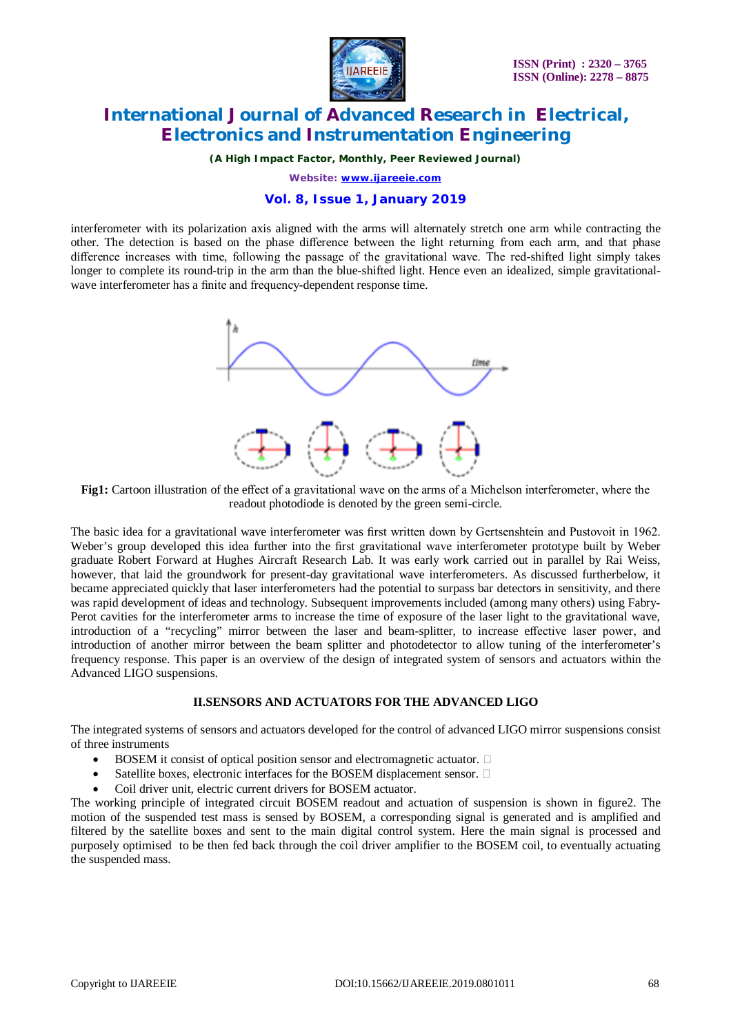

*(A High Impact Factor, Monthly, Peer Reviewed Journal)*

*Website: [www.ijareeie.com](http://www.ijareeie.com)*

### **Vol. 8, Issue 1, January 2019**

interferometer with its polarization axis aligned with the arms will alternately stretch one arm while contracting the other. The detection is based on the phase difference between the light returning from each arm, and that phase difference increases with time, following the passage of the gravitational wave. The red-shifted light simply takes longer to complete its round-trip in the arm than the blue-shifted light. Hence even an idealized, simple gravitationalwave interferometer has a finite and frequency-dependent response time.



**Fig1:** Cartoon illustration of the effect of a gravitational wave on the arms of a Michelson interferometer, where the readout photodiode is denoted by the green semi-circle.

The basic idea for a gravitational wave interferometer was first written down by Gertsenshtein and Pustovoit in 1962. Weber's group developed this idea further into the first gravitational wave interferometer prototype built by Weber graduate Robert Forward at Hughes Aircraft Research Lab. It was early work carried out in parallel by Rai Weiss, however, that laid the groundwork for present-day gravitational wave interferometers. As discussed furtherbelow, it became appreciated quickly that laser interferometers had the potential to surpass bar detectors in sensitivity, and there was rapid development of ideas and technology. Subsequent improvements included (among many others) using Fabry-Perot cavities for the interferometer arms to increase the time of exposure of the laser light to the gravitational wave, introduction of a "recycling" mirror between the laser and beam-splitter, to increase effective laser power, and introduction of another mirror between the beam splitter and photodetector to allow tuning of the interferometer's frequency response. This paper is an overview of the design of integrated system of sensors and actuators within the Advanced LIGO suspensions.

### **II.SENSORS AND ACTUATORS FOR THE ADVANCED LIGO**

The integrated systems of sensors and actuators developed for the control of advanced LIGO mirror suspensions consist of three instruments

- $\bullet$  BOSEM it consist of optical position sensor and electromagnetic actuator.  $\square$
- Satellite boxes, electronic interfaces for the BOSEM displacement sensor.  $\Box$
- Coil driver unit, electric current drivers for BOSEM actuator.

The working principle of integrated circuit BOSEM readout and actuation of suspension is shown in figure2. The motion of the suspended test mass is sensed by BOSEM, a corresponding signal is generated and is amplified and filtered by the satellite boxes and sent to the main digital control system. Here the main signal is processed and purposely optimised to be then fed back through the coil driver amplifier to the BOSEM coil, to eventually actuating the suspended mass.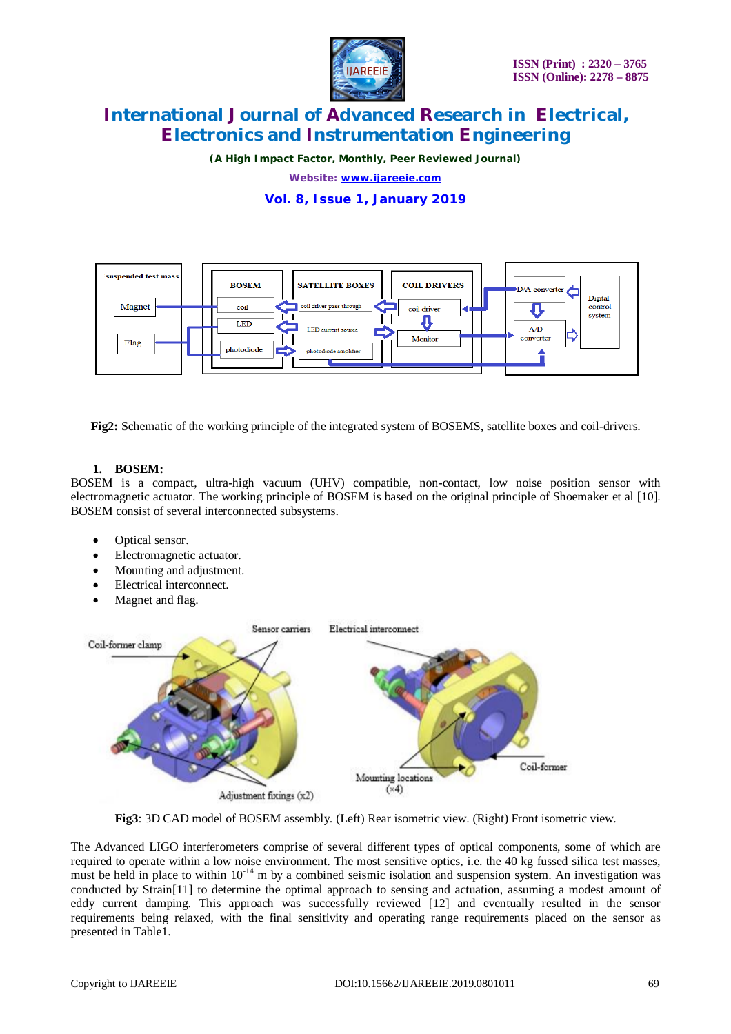

*(A High Impact Factor, Monthly, Peer Reviewed Journal)*

*Website: [www.ijareeie.com](http://www.ijareeie.com)*

**Vol. 8, Issue 1, January 2019**



**Fig2:** Schematic of the working principle of the integrated system of BOSEMS, satellite boxes and coil-drivers.

### **1. BOSEM:**

BOSEM is a compact, ultra-high vacuum (UHV) compatible, non-contact, low noise position sensor with electromagnetic actuator. The working principle of BOSEM is based on the original principle of Shoemaker et al [10]. BOSEM consist of several interconnected subsystems.

- Optical sensor.
- Electromagnetic actuator.
- Mounting and adjustment.
- Electrical interconnect.
- Magnet and flag.



**Fig3**: 3D CAD model of BOSEM assembly. (Left) Rear isometric view. (Right) Front isometric view.

The Advanced LIGO interferometers comprise of several different types of optical components, some of which are required to operate within a low noise environment. The most sensitive optics, i.e. the 40 kg fussed silica test masses, must be held in place to within  $10^{-14}$  m by a combined seismic isolation and suspension system. An investigation was conducted by Strain[11] to determine the optimal approach to sensing and actuation, assuming a modest amount of eddy current damping. This approach was successfully reviewed [12] and eventually resulted in the sensor requirements being relaxed, with the final sensitivity and operating range requirements placed on the sensor as presented in Table1.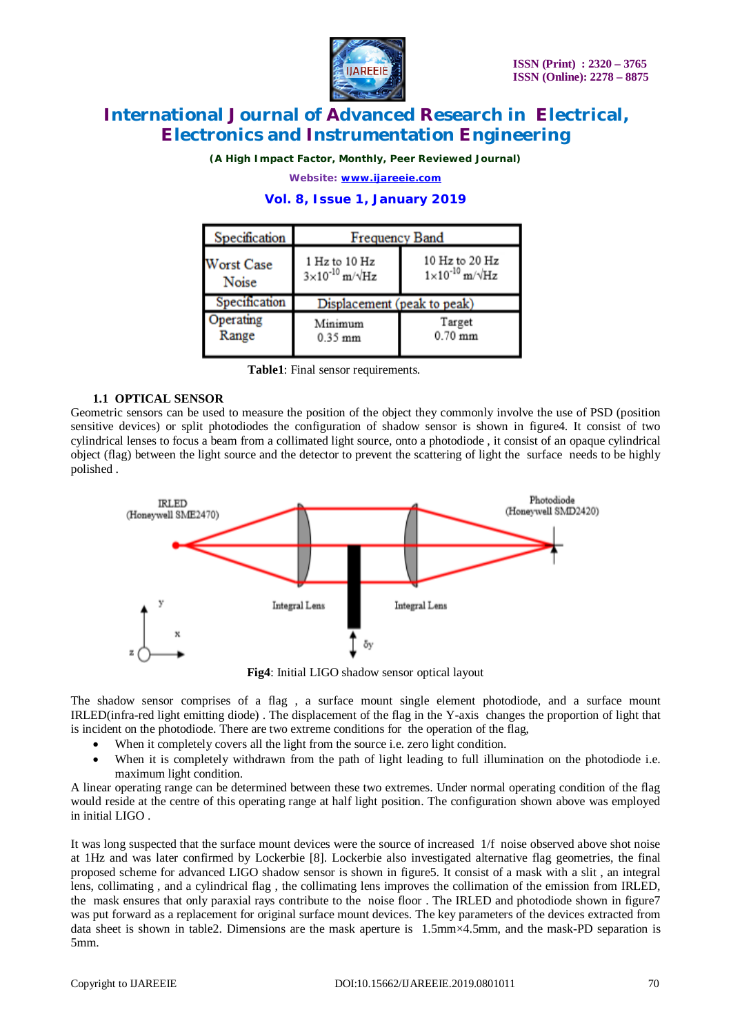

*(A High Impact Factor, Monthly, Peer Reviewed Journal)*

*Website: [www.ijareeie.com](http://www.ijareeie.com)*

### **Vol. 8, Issue 1, January 2019**

| Specification     | <b>Frequency Band</b>            |                                         |
|-------------------|----------------------------------|-----------------------------------------|
| <b>Worst Case</b> | 1 Hz to 10 Hz                    | 10 Hz to 20 Hz                          |
| Noise             | $3\times10^{-10}$ m/ $\sqrt{Hz}$ | $1\times10^{-10}$ m/ $\sqrt{\text{Hz}}$ |
| Specification     | Displacement (peak to peak)      |                                         |
| Operating         | Minimum                          | Target                                  |
| Range             | $0.35$ mm                        | $0.70$ mm                               |

**Table1**: Final sensor requirements.

# **1.1 OPTICAL SENSOR**

Geometric sensors can be used to measure the position of the object they commonly involve the use of PSD (position sensitive devices) or split photodiodes the configuration of shadow sensor is shown in figure4. It consist of two cylindrical lenses to focus a beam from a collimated light source, onto a photodiode , it consist of an opaque cylindrical object (flag) between the light source and the detector to prevent the scattering of light the surface needs to be highly polished .



**Fig4**: Initial LIGO shadow sensor optical layout

The shadow sensor comprises of a flag , a surface mount single element photodiode, and a surface mount IRLED(infra-red light emitting diode) . The displacement of the flag in the Y-axis changes the proportion of light that is incident on the photodiode. There are two extreme conditions for the operation of the flag,

- When it completely covers all the light from the source i.e. zero light condition.
- When it is completely withdrawn from the path of light leading to full illumination on the photodiode i.e. maximum light condition.

A linear operating range can be determined between these two extremes. Under normal operating condition of the flag would reside at the centre of this operating range at half light position. The configuration shown above was employed in initial LIGO .

It was long suspected that the surface mount devices were the source of increased 1/f noise observed above shot noise at 1Hz and was later confirmed by Lockerbie [8]. Lockerbie also investigated alternative flag geometries, the final proposed scheme for advanced LIGO shadow sensor is shown in figure5. It consist of a mask with a slit , an integral lens, collimating , and a cylindrical flag , the collimating lens improves the collimation of the emission from IRLED, the mask ensures that only paraxial rays contribute to the noise floor . The IRLED and photodiode shown in figure7 was put forward as a replacement for original surface mount devices. The key parameters of the devices extracted from data sheet is shown in table2. Dimensions are the mask aperture is 1.5mm×4.5mm, and the mask-PD separation is 5mm.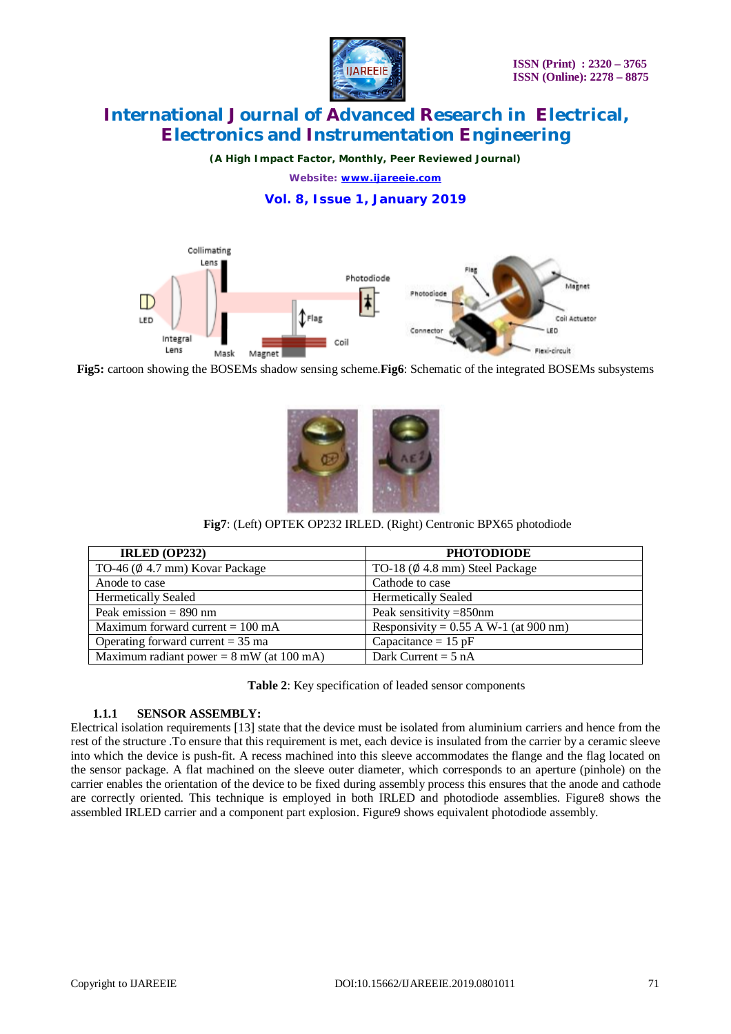

*(A High Impact Factor, Monthly, Peer Reviewed Journal) Website: [www.ijareeie.com](http://www.ijareeie.com)*

**Vol. 8, Issue 1, January 2019**



**Fig5:** cartoon showing the BOSEMs shadow sensing scheme.**Fig6**: Schematic of the integrated BOSEMs subsystems



**Fig7**: (Left) OPTEK OP232 IRLED. (Right) Centronic BPX65 photodiode

| <b>IRLED (OP232)</b>                               | <b>PHOTODIODE</b>                        |
|----------------------------------------------------|------------------------------------------|
| TO-46 ( $\emptyset$ 4.7 mm) Kovar Package          | TO-18 $(\emptyset$ 4.8 mm) Steel Package |
| Anode to case                                      | Cathode to case                          |
| <b>Hermetically Sealed</b>                         | <b>Hermetically Sealed</b>               |
| Peak emission $= 890$ nm                           | Peak sensitivity = 850nm                 |
| Maximum forward current $= 100$ mA                 | Responsivity = $0.55$ A W-1 (at 900 nm)  |
| Operating forward current $=$ 35 ma                | Capacitance = $15$ pF                    |
| Maximum radiant power = $8 \text{ mW}$ (at 100 mA) | Dark Current = $5 nA$                    |

**Table 2**: Key specification of leaded sensor components

### **1.1.1 SENSOR ASSEMBLY:**

Electrical isolation requirements [13] state that the device must be isolated from aluminium carriers and hence from the rest of the structure .To ensure that this requirement is met, each device is insulated from the carrier by a ceramic sleeve into which the device is push-fit. A recess machined into this sleeve accommodates the flange and the flag located on the sensor package. A flat machined on the sleeve outer diameter, which corresponds to an aperture (pinhole) on the carrier enables the orientation of the device to be fixed during assembly process this ensures that the anode and cathode are correctly oriented. This technique is employed in both IRLED and photodiode assemblies. Figure8 shows the assembled IRLED carrier and a component part explosion. Figure9 shows equivalent photodiode assembly.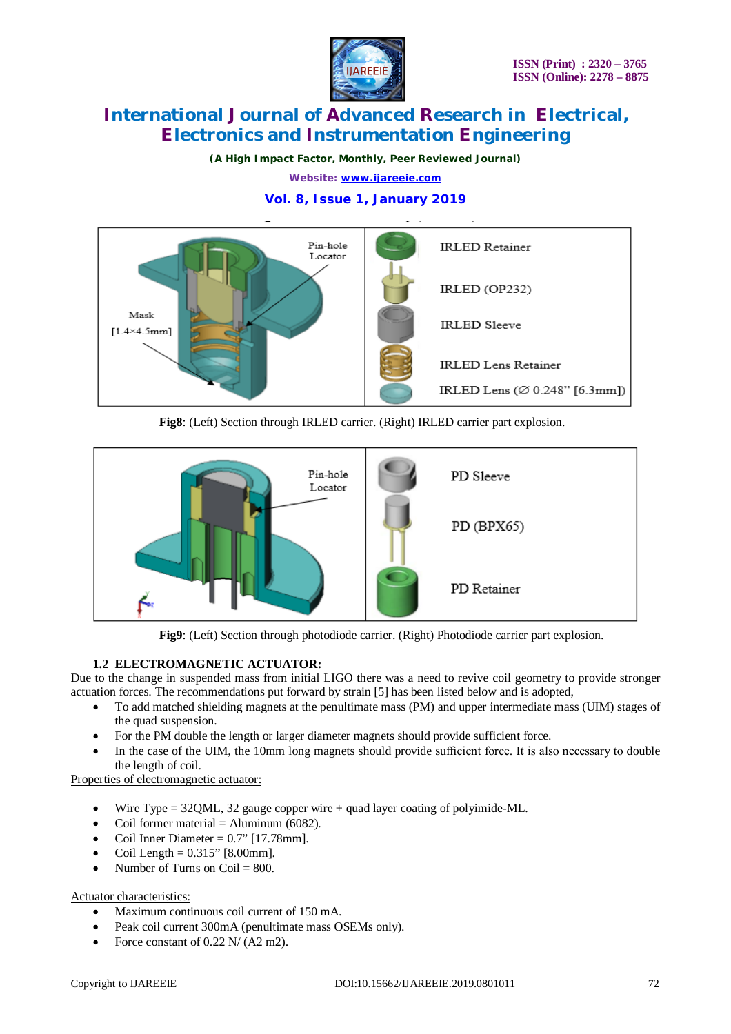

*(A High Impact Factor, Monthly, Peer Reviewed Journal) Website: [www.ijareeie.com](http://www.ijareeie.com)*

# **Vol. 8, Issue 1, January 2019**



**Fig8**: (Left) Section through IRLED carrier. (Right) IRLED carrier part explosion.



**Fig9**: (Left) Section through photodiode carrier. (Right) Photodiode carrier part explosion.

# **1.2 ELECTROMAGNETIC ACTUATOR:**

Due to the change in suspended mass from initial LIGO there was a need to revive coil geometry to provide stronger actuation forces. The recommendations put forward by strain [5] has been listed below and is adopted,

- To add matched shielding magnets at the penultimate mass (PM) and upper intermediate mass (UIM) stages of the quad suspension.
- For the PM double the length or larger diameter magnets should provide sufficient force.
- In the case of the UIM, the 10mm long magnets should provide sufficient force. It is also necessary to double the length of coil.

Properties of electromagnetic actuator:

- Wire Type  $= 32QML$ , 32 gauge copper wire  $+$  quad layer coating of polyimide-ML.
- Coil former material  $=$  Aluminum (6082).
- Coil Inner Diameter  $= 0.7$ " [17.78mm].
- Coil Length =  $0.315$ " [8.00mm].
- Number of Turns on  $Coil = 800$ .

# Actuator characteristics:

- Maximum continuous coil current of 150 mA.
- Peak coil current 300mA (penultimate mass OSEMs only).
- Force constant of  $0.22$  N/  $(A2 \text{ m2})$ .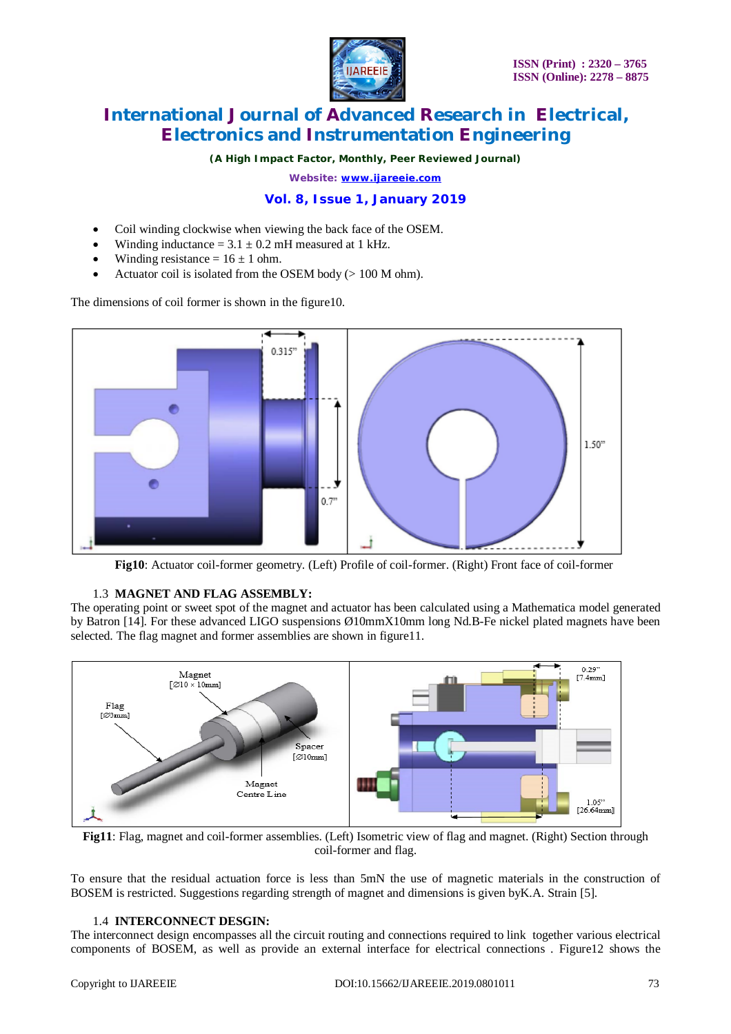

*(A High Impact Factor, Monthly, Peer Reviewed Journal)*

*Website: [www.ijareeie.com](http://www.ijareeie.com)*

# **Vol. 8, Issue 1, January 2019**

- Coil winding clockwise when viewing the back face of the OSEM.
- Winding inductance  $= 3.1 \pm 0.2$  mH measured at 1 kHz.
- Winding resistance =  $16 \pm 1$  ohm.
- Actuator coil is isolated from the OSEM body (> 100 M ohm).

The dimensions of coil former is shown in the figure10.



**Fig10**: Actuator coil-former geometry. (Left) Profile of coil-former. (Right) Front face of coil-former

### 1.3 **MAGNET AND FLAG ASSEMBLY:**

The operating point or sweet spot of the magnet and actuator has been calculated using a Mathematica model generated by Batron [14]. For these advanced LIGO suspensions Ø10mmX10mm long Nd.B-Fe nickel plated magnets have been selected. The flag magnet and former assemblies are shown in figure11.



**Fig11**: Flag, magnet and coil-former assemblies. (Left) Isometric view of flag and magnet. (Right) Section through coil-former and flag.

To ensure that the residual actuation force is less than 5mN the use of magnetic materials in the construction of BOSEM is restricted. Suggestions regarding strength of magnet and dimensions is given byK.A. Strain [5].

### 1.4 **INTERCONNECT DESGIN:**

The interconnect design encompasses all the circuit routing and connections required to link together various electrical components of BOSEM, as well as provide an external interface for electrical connections . Figure12 shows the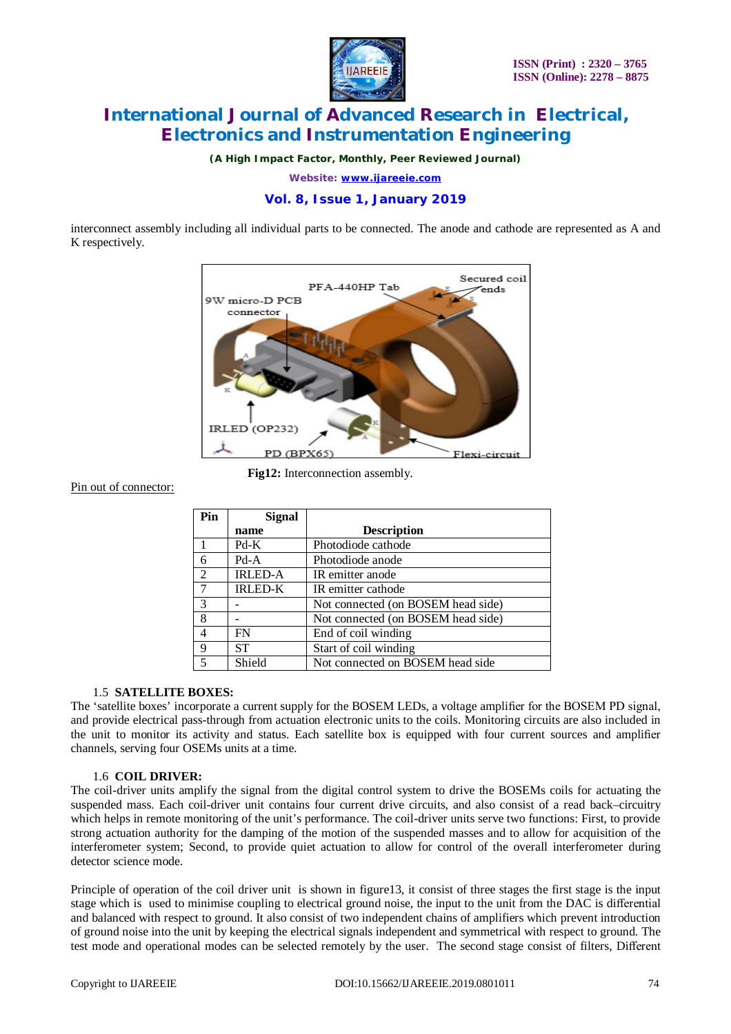

*(A High Impact Factor, Monthly, Peer Reviewed Journal)*

*Website: [www.ijareeie.com](http://www.ijareeie.com)*

**Vol. 8, Issue 1, January 2019**

interconnect assembly including all individual parts to be connected. The anode and cathode are represented as A and K respectively.



**Fig12:** Interconnection assembly.

#### Pin out of connector:

| Pin            | <b>Signal</b>  |                                    |
|----------------|----------------|------------------------------------|
|                | name           | <b>Description</b>                 |
|                | Pd-K           | Photodiode cathode                 |
| -6             | $Pd-A$         | Photodiode anode                   |
| 2              | <b>IRLED-A</b> | IR emitter anode                   |
| 7              | <b>IRLED-K</b> | IR emitter cathode                 |
| 3              |                | Not connected (on BOSEM head side) |
| 8              |                | Not connected (on BOSEM head side) |
| $\overline{4}$ | FN             | End of coil winding                |
| 9              | <b>ST</b>      | Start of coil winding              |
| 5              | Shield         | Not connected on BOSEM head side   |

### 1.5 **SATELLITE BOXES:**

The 'satellite boxes' incorporate a current supply for the BOSEM LEDs, a voltage amplifier for the BOSEM PD signal, and provide electrical pass-through from actuation electronic units to the coils. Monitoring circuits are also included in the unit to monitor its activity and status. Each satellite box is equipped with four current sources and amplifier channels, serving four OSEMs units at a time.

### 1.6 **COIL DRIVER:**

The coil-driver units amplify the signal from the digital control system to drive the BOSEMs coils for actuating the suspended mass. Each coil-driver unit contains four current drive circuits, and also consist of a read back–circuitry which helps in remote monitoring of the unit's performance. The coil-driver units serve two functions: First, to provide strong actuation authority for the damping of the motion of the suspended masses and to allow for acquisition of the interferometer system; Second, to provide quiet actuation to allow for control of the overall interferometer during detector science mode.

Principle of operation of the coil driver unit is shown in figure13, it consist of three stages the first stage is the input stage which is used to minimise coupling to electrical ground noise, the input to the unit from the DAC is differential and balanced with respect to ground. It also consist of two independent chains of amplifiers which prevent introduction of ground noise into the unit by keeping the electrical signals independent and symmetrical with respect to ground. The test mode and operational modes can be selected remotely by the user. The second stage consist of filters, Different